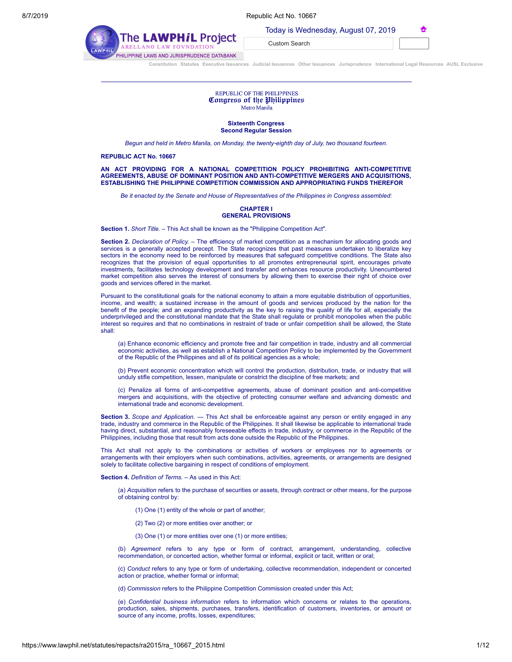|  | Today is Wednesday, August 07, 2019 |  |  |  |
|--|-------------------------------------|--|--|--|
|--|-------------------------------------|--|--|--|

| -<br>$\sim$ |  |
|-------------|--|
|             |  |
|             |  |

| <b>WPHiL Project</b>  | <u>ivuu y</u><br>Custom |  |
|-----------------------|-------------------------|--|
| <b>LAW FOVNDATION</b> |                         |  |
|                       |                         |  |

HILIPPINE LAWS AND JURISPRUDENCE DATABANK

|  |  | Constitution Statutes Executive Issuances Judicial Issuances Other Issuances Jurisprudence International Legal Resources AUSL Exclusive |  |
|--|--|-----------------------------------------------------------------------------------------------------------------------------------------|--|

Search

### REPUBLIC OF THE PHILIPPINES Congress of the Philippines Metro Manila

#### **Sixteenth Congress Second Regular Session**

*Begun and held in Metro Manila, on Monday, the twenty-eighth day of July, two thousand fourteen.*

# **REPUBLIC ACT No. 10667**

The LA

# **AN ACT PROVIDING FOR A NATIONAL COMPETITION POLICY PROHIBITING ANTI-COMPETITIVE AGREEMENTS, ABUSE OF DOMINANT POSITION AND ANTI-COMPETITIVE MERGERS AND ACQUISITIONS, ESTABLISHING THE PHILIPPINE COMPETITION COMMISSION AND APPROPRIATING FUNDS THEREFOR**

*Be it enacted by the Senate and House of Representatives of the Philippines in Congress assembled:*

# **CHAPTER I GENERAL PROVISIONS**

**Section 1.** *Short Title.* – This Act shall be known as the "Philippine Competition Act".

**Section 2.** *Declaration of Policy.* – The efficiency of market competition as a mechanism for allocating goods and services is a generally accepted precept. The State recognizes that past measures undertaken to liberalize key sectors in the economy need to be reinforced by measures that safeguard competitive conditions. The State also recognizes that the provision of equal opportunities to all promotes entrepreneurial spirit, encourages private investments, facilitates technology development and transfer and enhances resource productivity. Unencumbered market competition also serves the interest of consumers by allowing them to exercise their right of choice over goods and services offered in the market.

Pursuant to the constitutional goals for the national economy to attain a more equitable distribution of opportunities, income, and wealth; a sustained increase in the amount of goods and services produced by the nation for the benefit of the people; and an expanding productivity as the key to raising the quality of life for all, especially the underprivileged and the constitutional mandate that the State shall regulate or prohibit monopolies when the public interest so requires and that no combinations in restraint of trade or unfair competition shall be allowed, the State shall:

(a) Enhance economic efficiency and promote free and fair competition in trade, industry and all commercial economic activities, as well as establish a National Competition Policy to be implemented by the Government of the Republic of the Philippines and all of its political agencies as a whole;

(b) Prevent economic concentration which will control the production, distribution, trade, or industry that will unduly stifle competition, lessen, manipulate or constrict the discipline of free markets; and

(c) Penalize all forms of anti-competitive agreements, abuse of dominant position and anti-competitive mergers and acquisitions, with the objective of protecting consumer welfare and advancing domestic and international trade and economic development.

**Section 3.** *Scope and Application.* — This Act shall be enforceable against any person or entity engaged in any trade, industry and commerce in the Republic of the Philippines. It shall likewise be applicable to international trade having direct, substantial, and reasonably foreseeable effects in trade, industry, or commerce in the Republic of the Philippines, including those that result from acts done outside the Republic of the Philippines.

This Act shall not apply to the combinations or activities of workers or employees nor to agreements or arrangements with their employers when such combinations, activities, agreements, or arrangements are designed solely to facilitate collective bargaining in respect of conditions of employment.

**Section 4.** *Definition of Terms.* – As used in this Act:

(a) *Acquisition* refers to the purchase of securities or assets, through contract or other means, for the purpose of obtaining control by:

(1) One (1) entity of the whole or part of another;

- (2) Two (2) or more entities over another; or
- (3) One (1) or more entities over one (1) or more entities;

(b) *Agreement* refers to any type or form of contract, arrangement, understanding, collective recommendation, or concerted action, whether formal or informal, explicit or tacit, written or oral;

(c) *Conduct* refers to any type or form of undertaking, collective recommendation, independent or concerted action or practice, whether formal or informal;

(d) *Commission* refers to the Philippine Competition Commission created under this Act;

(e) *Confidential business information* refers to information which concerns or relates to the operations, production, sales, shipments, purchases, transfers, identification of customers, inventories, or amount or source of any income, profits, losses, expenditures;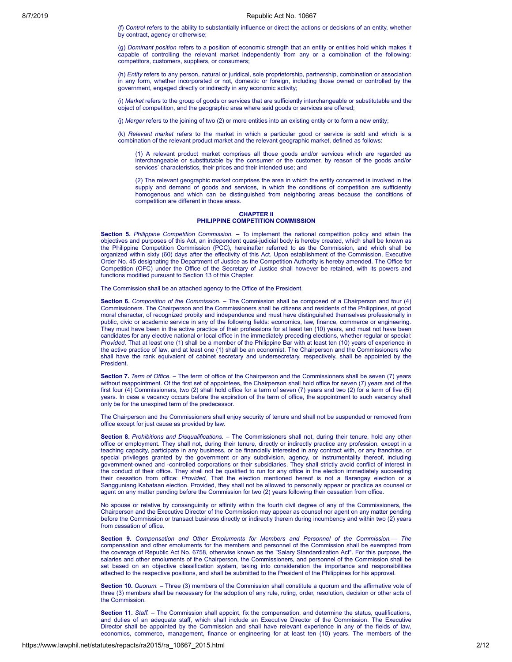(f) *Control* refers to the ability to substantially influence or direct the actions or decisions of an entity, whether by contract, agency or otherwise;

(g) *Dominant position* refers to a position of economic strength that an entity or entities hold which makes it capable of controlling the relevant market independently from any or a combination of the following: competitors, customers, suppliers, or consumers;

(h) *Entity* refers to any person, natural or juridical, sole proprietorship, partnership, combination or association in any form, whether incorporated or not, domestic or foreign, including those owned or controlled by the government, engaged directly or indirectly in any economic activity;

(i) *Market* refers to the group of goods or services that are sufficiently interchangeable or substitutable and the object of competition, and the geographic area where said goods or services are offered;

(j) *Merger* refers to the joining of two (2) or more entities into an existing entity or to form a new entity;

(k) *Relevant market* refers to the market in which a particular good or service is sold and which is a combination of the relevant product market and the relevant geographic market, defined as follows:

(1) A relevant product market comprises all those goods and/or services which are regarded as interchangeable or substitutable by the consumer or the customer, by reason of the goods and/or services' characteristics, their prices and their intended use; and

(2) The relevant geographic market comprises the area in which the entity concerned is involved in the supply and demand of goods and services, in which the conditions of competition are sufficiently homogenous and which can be distinguished from neighboring areas because the conditions of competition are different in those areas.

#### **CHAPTER II PHILIPPINE COMPETITION COMMISSION**

**Section 5.** *Philippine Competition Commission.* – To implement the national competition policy and attain the objectives and purposes of this Act, an independent quasi-judicial body is hereby created, which shall be known as the Philippine Competition Commission (PCC), hereinafter referred to as the Commission, and which shall be organized within sixty (60) days after the effectivity of this Act. Upon establishment of the Commission, Executive Order No. 45 designating the Department of Justice as the Competition Authority is hereby amended. The Office for Competition (OFC) under the Office of the Secretary of Justice shall however be retained, with its powers and functions modified pursuant to Section 13 of this Chapter.

The Commission shall be an attached agency to the Office of the President.

**Section 6.** *Composition of the Commission.* – The Commission shall be composed of a Chairperson and four (4) Commissioners. The Chairperson and the Commissioners shall be citizens and residents of the Philippines, of good moral character, of recognized probity and independence and must have distinguished themselves professionally in public, civic or academic service in any of the following fields: economics, law, finance, commerce or engineering. They must have been in the active practice of their professions for at least ten (10) years, and must not have been candidates for any elective national or local office in the immediately preceding elections, whether regular or special: *Provided,* That at least one (1) shall be a member of the Philippine Bar with at least ten (10) years of experience in the active practice of law, and at least one (1) shall be an economist. The Chairperson and the Commissioners who shall have the rank equivalent of cabinet secretary and undersecretary, respectively, shall be appointed by the President.

**Section 7.** *Term of Office.* – The term of office of the Chairperson and the Commissioners shall be seven (7) years without reappointment. Of the first set of appointees, the Chairperson shall hold office for seven (7) years and of the first four (4) Commissioners, two (2) shall hold office for a term of seven (7) years and two (2) for a term of five (5) years. In case a vacancy occurs before the expiration of the term of office, the appointment to such vacancy shall only be for the unexpired term of the predecessor.

The Chairperson and the Commissioners shall enjoy security of tenure and shall not be suspended or removed from office except for just cause as provided by law.

**Section 8.** *Prohibitions and Disqualifications.* – The Commissioners shall not, during their tenure, hold any other office or employment. They shall not, during their tenure, directly or indirectly practice any profession, except in a teaching capacity, participate in any business, or be financially interested in any contract with, or any franchise, or special privileges granted by the government or any subdivision, agency, or instrumentality thereof, including government-owned and -controlled corporations or their subsidiaries. They shall strictly avoid conflict of interest in the conduct of their office. They shall not be qualified to run for any office in the election immediately succeeding their cessation from office: *Provided,* That the election mentioned hereof is not a Barangay election or a Sangguniang Kabataan election. Provided, they shall not be allowed to personally appear or practice as counsel or agent on any matter pending before the Commission for two (2) years following their cessation from office.

No spouse or relative by consanguinity or affinity within the fourth civil degree of any of the Commissioners, the Chairperson and the Executive Director of the Commission may appear as counsel nor agent on any matter pending before the Commission or transact business directly or indirectly therein during incumbency and within two (2) years from cessation of office.

**Section 9.** *Compensation and Other Emoluments for Members and Personnel of the Commission.— The* compensation and other emoluments for the members and personnel of the Commission shall be exempted from the coverage of Republic Act No. 6758, otherwise known as the "Salary Standardization Act". For this purpose, the salaries and other emoluments of the Chairperson, the Commissioners, and personnel of the Commission shall be set based on an objective classification system, taking into consideration the importance and responsibilities attached to the respective positions, and shall be submitted to the President of the Philippines for his approval.

**Section 10.** *Quorum.* – Three (3) members of the Commission shall constitute a quorum and the affirmative vote of three (3) members shall be necessary for the adoption of any rule, ruling, order, resolution, decision or other acts of the Commission.

**Section 11.** *Staff.* – The Commission shall appoint, fix the compensation, and determine the status, qualifications, and duties of an adequate staff, which shall include an Executive Director of the Commission. The Executive Director shall be appointed by the Commission and shall have relevant experience in any of the fields of law, economics, commerce, management, finance or engineering for at least ten (10) years. The members of the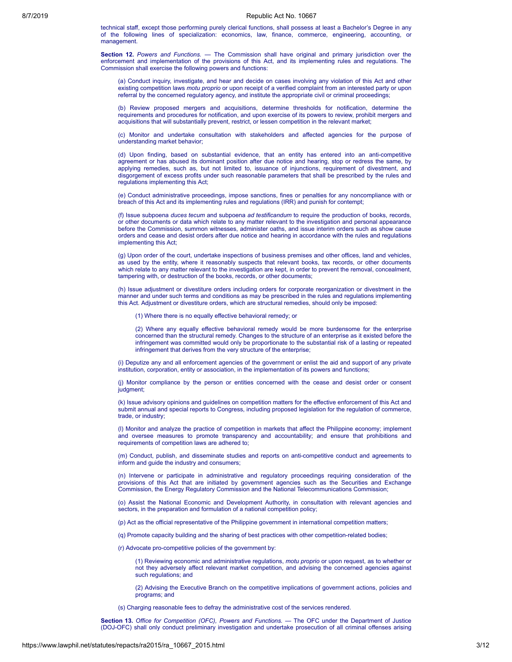technical staff, except those performing purely clerical functions, shall possess at least a Bachelor's Degree in any of the following lines of specialization: economics, law, finance, commerce, engineering, accounting, or management.

**Section 12.** *Powers and Functions.* — The Commission shall have original and primary jurisdiction over the enforcement and implementation of the provisions of this Act, and its implementing rules and regulations. The Commission shall exercise the following powers and functions:

(a) Conduct inquiry, investigate, and hear and decide on cases involving any violation of this Act and other existing competition laws *motu proprio* or upon receipt of a verified complaint from an interested party or upon referral by the concerned regulatory agency, and institute the appropriate civil or criminal proceedings;

(b) Review proposed mergers and acquisitions, determine thresholds for notification, determine the requirements and procedures for notification, and upon exercise of its powers to review, prohibit mergers and acquisitions that will substantially prevent, restrict, or lessen competition in the relevant market;

(c) Monitor and undertake consultation with stakeholders and affected agencies for the purpose of understanding market behavior;

(d) Upon finding, based on substantial evidence, that an entity has entered into an anti-competitive agreement or has abused its dominant position after due notice and hearing, stop or redress the same, by applying remedies, such as, but not limited to, issuance of injunctions, requirement of divestment, and disgorgement of excess profits under such reasonable parameters that shall be prescribed by the rules and regulations implementing this Act;

(e) Conduct administrative proceedings, impose sanctions, fines or penalties for any noncompliance with or breach of this Act and its implementing rules and regulations (IRR) and punish for contempt;

(f) Issue subpoena *duces tecum* and subpoena *ad testificandum* to require the production of books, records, or other documents or data which relate to any matter relevant to the investigation and personal appearance before the Commission, summon witnesses, administer oaths, and issue interim orders such as show cause orders and cease and desist orders after due notice and hearing in accordance with the rules and regulations implementing this Act;

(g) Upon order of the court, undertake inspections of business premises and other offices, land and vehicles, as used by the entity, where it reasonably suspects that relevant books, tax records, or other documents which relate to any matter relevant to the investigation are kept, in order to prevent the removal, concealment, tampering with, or destruction of the books, records, or other documents;

(h) Issue adjustment or divestiture orders including orders for corporate reorganization or divestment in the manner and under such terms and conditions as may be prescribed in the rules and regulations implementing this Act. Adjustment or divestiture orders, which are structural remedies, should only be imposed:

(1) Where there is no equally effective behavioral remedy; or

(2) Where any equally effective behavioral remedy would be more burdensome for the enterprise concerned than the structural remedy. Changes to the structure of an enterprise as it existed before the infringement was committed would only be proportionate to the substantial risk of a lasting or repeated infringement that derives from the very structure of the enterprise;

(i) Deputize any and all enforcement agencies of the government or enlist the aid and support of any private institution, corporation, entity or association, in the implementation of its powers and functions;

(j) Monitor compliance by the person or entities concerned with the cease and desist order or consent judament<sup>;</sup>

(k) Issue advisory opinions and guidelines on competition matters for the effective enforcement of this Act and submit annual and special reports to Congress, including proposed legislation for the regulation of commerce, trade, or industry;

(l) Monitor and analyze the practice of competition in markets that affect the Philippine economy; implement and oversee measures to promote transparency and accountability; and ensure that prohibitions and requirements of competition laws are adhered to;

(m) Conduct, publish, and disseminate studies and reports on anti-competitive conduct and agreements to inform and guide the industry and consumers;

(n) Intervene or participate in administrative and regulatory proceedings requiring consideration of the provisions of this Act that are initiated by government agencies such as the Securities and Exchange Commission, the Energy Regulatory Commission and the National Telecommunications Commission;

(o) Assist the National Economic and Development Authority, in consultation with relevant agencies and sectors, in the preparation and formulation of a national competition policy;

(p) Act as the official representative of the Philippine government in international competition matters;

(q) Promote capacity building and the sharing of best practices with other competition-related bodies;

(r) Advocate pro-competitive policies of the government by:

(1) Reviewing economic and administrative regulations, *motu proprio* or upon request, as to whether or not they adversely affect relevant market competition, and advising the concerned agencies against such regulations; and

(2) Advising the Executive Branch on the competitive implications of government actions, policies and programs; and

(s) Charging reasonable fees to defray the administrative cost of the services rendered.

**Section 13.** *Office for Competition (OFC), Powers and Functions. —* The OFC under the Department of Justice (DOJ-OFC) shall only conduct preliminary investigation and undertake prosecution of all criminal offenses arising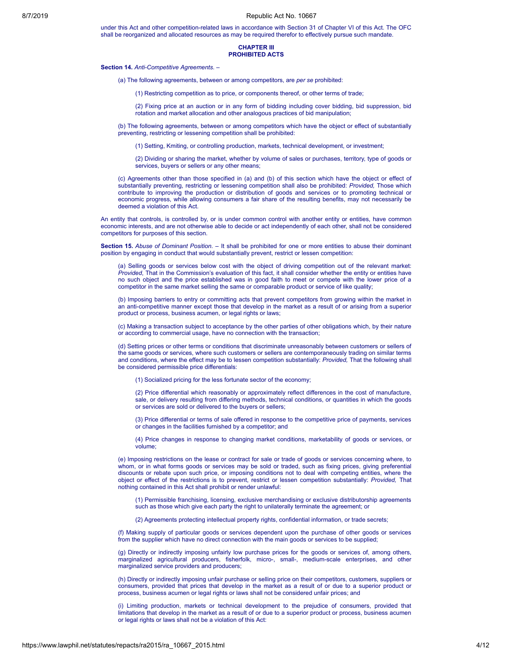under this Act and other competition-related laws in accordance with Section 31 of Chapter VI of this Act. The OFC shall be reorganized and allocated resources as may be required therefor to effectively pursue such mandate.

#### **CHAPTER III PROHIBITED ACTS**

#### **Section 14.** *Anti-Competitive Agreements.* –

(a) The following agreements, between or among competitors, are *per se* prohibited:

(1) Restricting competition as to price, or components thereof, or other terms of trade;

(2) Fixing price at an auction or in any form of bidding including cover bidding, bid suppression, bid rotation and market allocation and other analogous practices of bid manipulation;

(b) The following agreements, between or among competitors which have the object or effect of substantially preventing, restricting or lessening competition shall be prohibited:

(1) Setting, Kmiting, or controlling production, markets, technical development, or investment;

(2) Dividing or sharing the market, whether by volume of sales or purchases, territory, type of goods or services, buyers or sellers or any other means;

(c) Agreements other than those specified in (a) and (b) of this section which have the object or effect of substantially preventing, restricting or lessening competition shall also be prohibited: *Provided,* Those which contribute to improving the production or distribution of goods and services or to promoting technical or economic progress, while allowing consumers a fair share of the resulting benefits, may not necessarily be deemed a violation of this Act.

An entity that controls, is controlled by, or is under common control with another entity or entities, have common economic interests, and are not otherwise able to decide or act independently of each other, shall not be considered competitors for purposes of this section.

**Section 15.** *Abuse of Dominant Position. –* It shall be prohibited for one or more entities to abuse their dominant position by engaging in conduct that would substantially prevent, restrict or lessen competition:

(a) Selling goods or services below cost with the object of driving competition out of the relevant market: *Provided*, That in the Commission's evaluation of this fact, it shall consider whether the entity or entities have no such object and the price established was in good faith to meet or compete with the lower price of a competitor in the same market selling the same or comparable product or service of like quality;

(b) Imposing barriers to entry or committing acts that prevent competitors from growing within the market in an anti-competitive manner except those that develop in the market as a result of or arising from a superior product or process, business acumen, or legal rights or laws;

(c) Making a transaction subject to acceptance by the other parties of other obligations which, by their nature or according to commercial usage, have no connection with the transaction;

(d) Setting prices or other terms or conditions that discriminate unreasonably between customers or sellers of the same goods or services, where such customers or sellers are contemporaneously trading on similar terms and conditions, where the effect may be to lessen competition substantially: *Provided,* That the following shall be considered permissible price differentials:

(1) Socialized pricing for the less fortunate sector of the economy;

(2) Price differential which reasonably or approximately reflect differences in the cost of manufacture, sale, or delivery resulting from differing methods, technical conditions, or quantities in which the goods or services are sold or delivered to the buyers or sellers;

(3) Price differential or terms of sale offered in response to the competitive price of payments, services or changes in the facilities furnished by a competitor; and

(4) Price changes in response to changing market conditions, marketability of goods or services, or volume;

(e) Imposing restrictions on the lease or contract for sale or trade of goods or services concerning where, to whom, or in what forms goods or services may be sold or traded, such as fixing prices, giving preferential discounts or rebate upon such price, or imposing conditions not to deal with competing entities, where the object or effect of the restrictions is to prevent, restrict or lessen competition substantially: *Provided,* That nothing contained in this Act shall prohibit or render unlawful:

(1) Permissible franchising, licensing, exclusive merchandising or exclusive distributorship agreements such as those which give each party the right to unilaterally terminate the agreement; or

(2) Agreements protecting intellectual property rights, confidential information, or trade secrets;

(f) Making supply of particular goods or services dependent upon the purchase of other goods or services from the supplier which have no direct connection with the main goods or services to be supplied;

(g) Directly or indirectly imposing unfairly low purchase prices for the goods or services of, among others, marginalized agricultural producers, fisherfolk, micro-, small-, medium-scale enterprises, and other marginalized service providers and producers;

(h) Directly or indirectly imposing unfair purchase or selling price on their competitors, customers, suppliers or consumers, provided that prices that develop in the market as a result of or due to a superior product or process, business acumen or legal rights or laws shall not be considered unfair prices; and

(i) Limiting production, markets or technical development to the prejudice of consumers, provided that limitations that develop in the market as a result of or due to a superior product or process, business acumen or legal rights or laws shall not be a violation of this Act: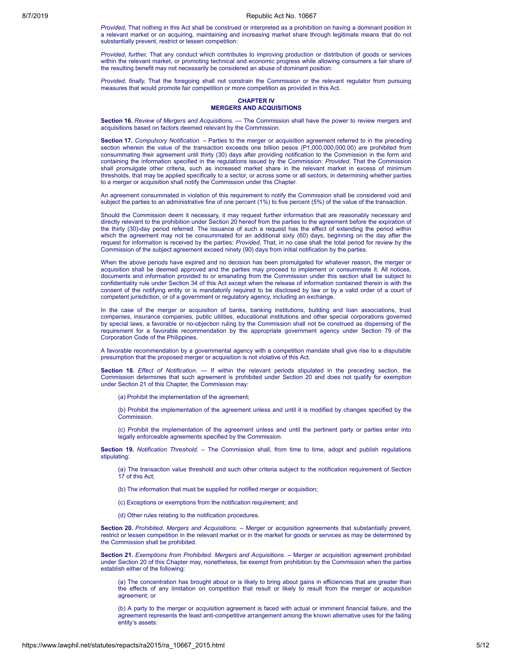*Provided,* That nothing in this Act shall be construed or interpreted as a prohibition on having a dominant position in a relevant market or on acquiring, maintaining and increasing market share through legitimate means that do not substantially prevent, restrict or lessen competition:

*Provided, further,* That any conduct which contributes to improving production or distribution of goods or services within the relevant market, or promoting technical and economic progress while allowing consumers a fair share of the resulting benefit may not necessarily be considered an abuse of dominant position:

*Provided, finally,* That the foregoing shall not constrain the Commission or the relevant regulator from pursuing measures that would promote fair competition or more competition as provided in this Act.

# **CHAPTER IV MERGERS AND ACQUISITIONS**

**Section 16.** *Review of Mergers and Acquisitions. —* The Commission shall have the power to review mergers and acquisitions based on factors deemed relevant by the Commission.

**Section 17.** *Compulsory Notification.* – Parties to the merger or acquisition agreement referred to in the preceding section wherein the value of the transaction exceeds one billion pesos (P1,000,000,000.00) are prohibited from consummating their agreement until thirty (30) days after providing notification to the Commission in the form and containing the information specified in the regulations issued by the Commission: *Provided,* That the Commission shall promulgate other criteria, such as increased market share in the relevant market in excess of minimum thresholds, that may be applied specifically to a sector, or across some or all sectors, in determining whether parties to a merger or acquisition shall notify the Commission under this Chapter.

An agreement consummated in violation of this requirement to notify the Commission shall be considered void and subject the parties to an administrative fine of one percent (1%) to five percent (5%) of the value of the transaction.

Should the Commission deem it necessary, it may request further information that are reasonably necessary and directly relevant to the prohibition under Section 20 hereof from the parties to the agreement before the expiration of the thirty (30)-day period referred. The issuance of such a request has the effect of extending the period within which the agreement may not be consummated for an additional sixty (60) days, beginning on the day after the request for information is received by the parties: *Provided,* That, in no case shall the total period for review by the Commission of the subject agreement exceed ninety (90) days from initial notification by the parties.

When the above periods have expired and no decision has been promulgated for whatever reason, the merger or acquisition shall be deemed approved and the parties may proceed to implement or consummate it. All notices, documents and information provided to or emanating from the Commission under this section shall be subject to confidentiality rule under Section 34 of this Act except when the release of information contained therein is with the consent of the notifying entity or is mandatorily required to be disclosed by law or by a valid order of a court of competent jurisdiction, or of a government or regulatory agency, including an exchange.

In the case of the merger or acquisition of banks, banking institutions, building and loan associations, trust companies, insurance companies, public utilities, educational institutions and other special corporations governed by special laws, a favorable or no-objection ruling by the Commission shall not be construed as dispensing of the requirement for a favorable recommendation by the appropriate government agency under Section 79 of the Corporation Code of the Philippines.

A favorable recommendation by a governmental agency with a competition mandate shall give rise to a disputable presumption that the proposed merger or acquisition is not violative of this Act.

**Section 18.** *Effect of Notification. —* If within the relevant periods stipulated in the preceding section, the Commission determines that such agreement is prohibited under Section 20 and does not qualify for exemption under Section 21 of this Chapter, the Commission may:

(a) Prohibit the implementation of the agreement;

(b) Prohibit the implementation of the agreement unless and until it is modified by changes specified by the **Commission** 

(c) Prohibit the implementation of the agreement unless and until the pertinent party or parties enter into legally enforceable agreements specified by the Commission.

**Section 19.** *Notification Threshold.* – The Commission shall, from time to time, adopt and publish regulations stipulating:

(a) The transaction value threshold and such other criteria subject to the notification requirement of Section 17 of this Act;

(b) The information that must be supplied for notified merger or acquisition;

(c) Exceptions or exemptions from the notification requirement; and

(d) Other rules relating to the notification procedures.

**Section 20.** *Prohibited. Mergers and Acquisitions.* – Merger or acquisition agreements that substantially prevent, restrict or lessen competition in the relevant market or in the market for goods or services as may be determined by the Commission shall be prohibited.

**Section 21.** *Exemptions from Prohibited. Mergers and Acquisitions.* – Merger or acquisition agreement prohibited under Section 20 of this Chapter may, nonetheless, be exempt from prohibition by the Commission when the parties establish either of the following:

(a) The concentration has brought about or is likely to bring about gains in efficiencies that are greater than the effects of any limitation on competition that result or likely to result from the merger or acquisition agreement; or

(b) A party to the merger or acquisition agreement is faced with actual or imminent financial failure, and the agreement represents the least anti-competitive arrangement among the known alternative uses for the failing entity's assets: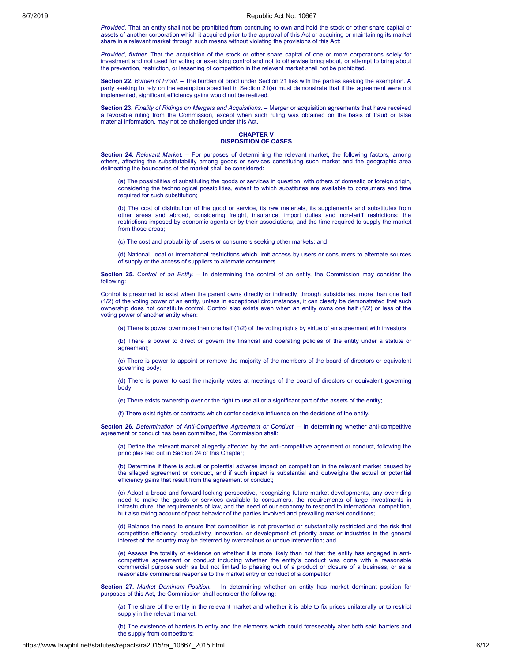*Provided,* That an entity shall not be prohibited from continuing to own and hold the stock or other share capital or assets of another corporation which it acquired prior to the approval of this Act or acquiring or maintaining its market share in a relevant market through such means without violating the provisions of this Act:

*Provided, further,* That the acquisition of the stock or other share capital of one or more corporations solely for investment and not used for voting or exercising control and not to otherwise bring about, or attempt to bring about the prevention, restriction, or lessening of competition in the relevant market shall not be prohibited.

**Section 22.** *Burden of Proof.* – The burden of proof under Section 21 lies with the parties seeking the exemption. A party seeking to rely on the exemption specified in Section 21(a) must demonstrate that if the agreement were not implemented, significant efficiency gains would not be realized.

**Section 23.** *Finality of Ridings on Mergers and Acquisitions. –* Merger or acquisition agreements that have received a favorable ruling from the Commission, except when such ruling was obtained on the basis of fraud or false material information, may not be challenged under this Act.

### **CHAPTER V DISPOSITION OF CASES**

**Section 24.** *Relevant Market.* – For purposes of determining the relevant market, the following factors, among others, affecting the substitutability among goods or services constituting such market and the geographic area delineating the boundaries of the market shall be considered:

(a) The possibilities of substituting the goods or services in question, with others of domestic or foreign origin, considering the technological possibilities, extent to which substitutes are available to consumers and time required for such substitution;

(b) The cost of distribution of the good or service, its raw materials, its supplements and substitutes from other areas and abroad, considering freight, insurance, import duties and non-tariff restrictions; the restrictions imposed by economic agents or by their associations; and the time required to supply the market from those areas:

(c) The cost and probability of users or consumers seeking other markets; and

(d) National, local or international restrictions which limit access by users or consumers to alternate sources of supply or the access of suppliers to alternate consumers.

**Section 25.** *Control of an Entity.* – In determining the control of an entity, the Commission may consider the following:

Control is presumed to exist when the parent owns directly or indirectly, through subsidiaries, more than one half (1/2) of the voting power of an entity, unless in exceptional circumstances, it can clearly be demonstrated that such ownership does not constitute control. Control also exists even when an entity owns one half (1/2) or less of the voting power of another entity when:

(a) There is power over more than one half (1/2) of the voting rights by virtue of an agreement with investors;

(b) There is power to direct or govern the financial and operating policies of the entity under a statute or agreement;

(c) There is power to appoint or remove the majority of the members of the board of directors or equivalent governing body;

(d) There is power to cast the majority votes at meetings of the board of directors or equivalent governing body;

(e) There exists ownership over or the right to use all or a significant part of the assets of the entity;

(f) There exist rights or contracts which confer decisive influence on the decisions of the entity.

**Section 26.** *Determination of Anti-Competitive Agreement or Conduct.* – In determining whether anti-competitive agreement or conduct has been committed, the Commission shall:

(a) Define the relevant market allegedly affected by the anti-competitive agreement or conduct, following the principles laid out in Section 24 of this Chapter;

(b) Determine if there is actual or potential adverse impact on competition in the relevant market caused by the alleged agreement or conduct, and if such impact is substantial and outweighs the actual or potential efficiency gains that result from the agreement or conduct;

(c) Adopt a broad and forward-looking perspective, recognizing future market developments, any overriding need to make the goods or services available to consumers, the requirements of large investments in infrastructure, the requirements of law, and the need of our economy to respond to international competition, but also taking account of past behavior of the parties involved and prevailing market conditions;

(d) Balance the need to ensure that competition is not prevented or substantially restricted and the risk that competition efficiency, productivity, innovation, or development of priority areas or industries in the general interest of the country may be deterred by overzealous or undue intervention; and

(e) Assess the totality of evidence on whether it is more likely than not that the entity has engaged in anticompetitive agreement or conduct including whether the entity's conduct was done with a reasonable commercial purpose such as but not limited to phasing out of a product or closure of a business, or as a reasonable commercial response to the market entry or conduct of a competitor.

**Section 27.** *Market Dominant Position.* – In determining whether an entity has market dominant position for purposes of this Act, the Commission shall consider the following:

(a) The share of the entity in the relevant market and whether it is able to fix prices unilaterally or to restrict supply in the relevant market;

(b) The existence of barriers to entry and the elements which could foreseeably alter both said barriers and the supply from competitors;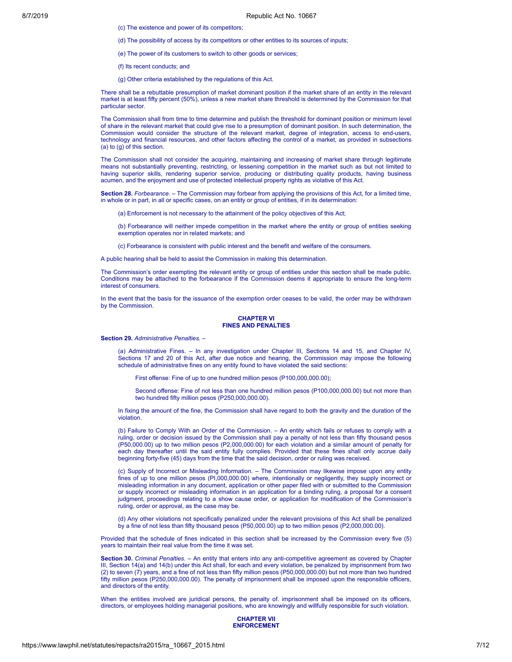(c) The existence and power of its competitors;

(d) The possibility of access by its competitors or other entities to its sources of inputs;

(e) The power of its customers to switch to other goods or services;

(f) Its recent conducts; and

(g) Other criteria established by the regulations of this Act.

There shall be a rebuttable presumption of market dominant position if the market share of an entity in the relevant market is at least fifty percent (50%), unless a new market share threshold is determined by the Commission for that particular sector.

The Commission shall from time to time determine and publish the threshold for dominant position or minimum level of share in the relevant market that could give rise to a presumption of dominant position. In such determination, the Commission would consider the structure of the relevant market, degree of integration, access to end-users, technology and financial resources, and other factors affecting the control of a market, as provided in subsections (a) to (g) of this section.

The Commission shall not consider the acquiring, maintaining and increasing of market share through legitimate means not substantially preventing, restricting, or lessening competition in the market such as but not limited to having superior skills, rendering superior service, producing or distributing quality products, having business acumen, and the enjoyment and use of protected intellectual property rights as violative of this Act.

**Section 28.** *Forbearance. –* The Commission may forbear from applying the provisions of this Act, for a limited time, in whole or in part, in all or specific cases, on an entity or group of entities, if in its determination:

(a) Enforcement is not necessary to the attainment of the policy objectives of this Act;

(b) Forbearance will neither impede competition in the market where the entity or group of entities seeking exemption operates nor in related markets; and

(c) Forbearance is consistent with public interest and the benefit and welfare of the consumers.

A public hearing shall be held to assist the Commission in making this determination.

The Commission's order exempting the relevant entity or group of entities under this section shall be made public. Conditions may be attached to the forbearance if the Commission deems it appropriate to ensure the long-term interest of consumers.

In the event that the basis for the issuance of the exemption order ceases to be valid, the order may be withdrawn by the Commission.

# **CHAPTER VI FINES AND PENALTIES**

#### **Section 29.** *Administrative Penalties.* –

(a) Administrative Fines. – In any investigation under Chapter III, Sections 14 and 15, and Chapter IV, Sections 17 and 20 of this Act, after due notice and hearing, the Commission may impose the following schedule of administrative fines on any entity found to have violated the said sections:

First offense: Fine of up to one hundred million pesos (P100,000,000.00);

Second offense: Fine of not less than one hundred million pesos (P100,000,000.00) but not more than two hundred fifty million pesos (P250,000,000.00).

In fixing the amount of the fine, the Commission shall have regard to both the gravity and the duration of the violation.

(b) Failure to Comply With an Order of the Commission. – An entity which fails or refuses to comply with a ruling, order or decision issued by the Commission shall pay a penalty of not less than fifty thousand pesos (P50,000.00) up to two million pesos (P2,000,000.00) for each violation and a similar amount of penalty for each day thereafter until the said entity fully complies. Provided that these fines shall only accrue daily beginning forty-five (45) days from the time that the said decision, order or ruling was received.

(c) Supply of Incorrect or Misleading Information. – The Commission may likewise impose upon any entity fines of up to one million pesos (PI,000,000.00) where, intentionally or negligently, they supply incorrect or misleading information in any document, application or other paper filed with or submitted to the Commission or supply incorrect or misleading information in an application for a binding ruling, a proposal for a consent judgment, proceedings relating to a show cause order, or application for modification of the Commission's ruling, order or approval, as the case may be.

(d) Any other violations not specifically penalized under the relevant provisions of this Act shall be penalized by a fine of not less than fifty thousand pesos (P50,000.00) up to two million pesos (P2,000,000.00).

Provided that the schedule of fines indicated in this section shall be increased by the Commission every five (5) years to maintain their real value from the time it was set.

**Section 30.** *Criminal Penalties.* – An entity that enters into any anti-competitive agreement as covered by Chapter III, Section 14(a) and 14(b) under this Act shall, for each and every violation, be penalized by imprisonment from two (2) to seven (7) years, and a fine of not less than fifty million pesos (P50,000,000.00) but not more than two hundred fifty million pesos (P250,000,000.00). The penalty of imprisonment shall be imposed upon the responsible officers, and directors of the entity.

When the entities involved are juridical persons, the penalty of. imprisonment shall be imposed on its officers, directors, or employees holding managerial positions, who are knowingly and willfully responsible for such violation.

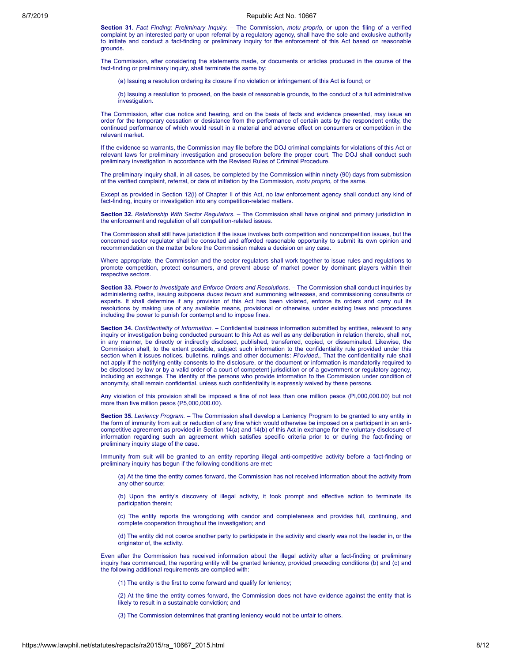**Section 31.** *Fact Finding; Preliminary Inquiry.* – The Commission, *motu proprio,* or upon the filing of a verified complaint by an interested party or upon referral by a regulatory agency, shall have the sole and exclusive authority to initiate and conduct a fact-finding or preliminary inquiry for the enforcement of this Act based on reasonable grounds.

The Commission, after considering the statements made, or documents or articles produced in the course of the fact-finding or preliminary inquiry, shall terminate the same by:

(a) Issuing a resolution ordering its closure if no violation or infringement of this Act is found; or

(b) Issuing a resolution to proceed, on the basis of reasonable grounds, to the conduct of a full administrative investigation.

The Commission, after due notice and hearing, and on the basis of facts and evidence presented, may issue an order for the temporary cessation or desistance from the performance of certain acts by the respondent entity, the continued performance of which would result in a material and adverse effect on consumers or competition in the relevant market.

If the evidence so warrants, the Commission may file before the DOJ criminal complaints for violations of this Act or relevant laws for preliminary investigation and prosecution before the proper court. The DOJ shall conduct such preliminary investigation in accordance with the Revised Rules of Criminal Procedure.

The preliminary inquiry shall, in all cases, be completed by the Commission within ninety (90) days from submission of the verified complaint, referral, or date of initiation by the Commission, *motu proprio,* of the same.

Except as provided in Section 12(i) of Chapter II of this Act, no law enforcement agency shall conduct any kind of fact-finding, inquiry or investigation into any competition-related matters.

**Section 32.** *Relationship With Sector Regulators.* – The Commission shall have original and primary jurisdiction in the enforcement and regulation of all competition-related issues.

The Commission shall still have jurisdiction if the issue involves both competition and noncompetition issues, but the concerned sector regulator shall be consulted and afforded reasonable opportunity to submit its own opinion and recommendation on the matter before the Commission makes a decision on any case.

Where appropriate, the Commission and the sector regulators shall work together to issue rules and regulations to promote competition, protect consumers, and prevent abuse of market power by dominant players within their .<br>respective sectors

**Section 33.** *Power to Investigate and Enforce Orders and Resolutions.* – The Commission shall conduct inquiries by administering oaths, issuing subpoena *duces tecum* and summoning witnesses, and commissioning consultants or experts. It shall determine if any provision of this Act has been violated, enforce its orders and carry out its resolutions by making use of any available means, provisional or otherwise, under existing laws and procedures including the power to punish for contempt and to impose fines.

**Section 34.** *Confidentiality of Information.* – Confidential business information submitted by entities, relevant to any inquiry or investigation being conducted pursuant to this Act as well as any deliberation in relation thereto, shall not, in any manner, be directly or indirectly disclosed, published, transferred, copied, or disseminated. Likewise, the Commission shall, to the extent possible, subject such information to the confidentiality rule provided under this section when it issues notices, bulletins, rulings and other documents: *Pi'ovided.,* That the confidentiality rule shall not apply if the notifying entity consents to the disclosure, or the document or information is mandatorily required to be disclosed by law or by a valid order of a court of competent jurisdiction or of a government or regulatory agency, including an exchange. The identity of the persons who provide information to the Commission under condition of anonymity, shall remain confidential, unless such confidentiality is expressly waived by these persons.

Any violation of this provision shall be imposed a fine of not less than one million pesos (PI,000,000.00) but not more than five million pesos (P5,000,000.00).

**Section 35.** *Leniency Program.* – The Commission shall develop a Leniency Program to be granted to any entity in the form of immunity from suit or reduction of any fine which would otherwise be imposed on a participant in an anticompetitive agreement as provided in Section 14(a) and 14(b) of this Act in exchange for the voluntary disclosure of information regarding such an agreement which satisfies specific criteria prior to or during the fact-finding or preliminary inquiry stage of the case.

Immunity from suit will be granted to an entity reporting illegal anti-competitive activity before a fact-finding or preliminary inquiry has begun if the following conditions are met:

(a) At the time the entity comes forward, the Commission has not received information about the activity from any other source;

(b) Upon the entity's discovery of illegal activity, it took prompt and effective action to terminate its participation therein;

(c) The entity reports the wrongdoing with candor and completeness and provides full, continuing, and complete cooperation throughout the investigation; and

(d) The entity did not coerce another party to participate in the activity and clearly was not the leader in, or the originator of, the activity.

Even after the Commission has received information about the illegal activity after a fact-finding or preliminary inquiry has commenced, the reporting entity will be granted leniency, provided preceding conditions (b) and (c) and the following additional requirements are complied with:

(1) The entity is the first to come forward and qualify for leniency;

(2) At the time the entity comes forward, the Commission does not have evidence against the entity that is likely to result in a sustainable conviction; and

(3) The Commission determines that granting leniency would not be unfair to others.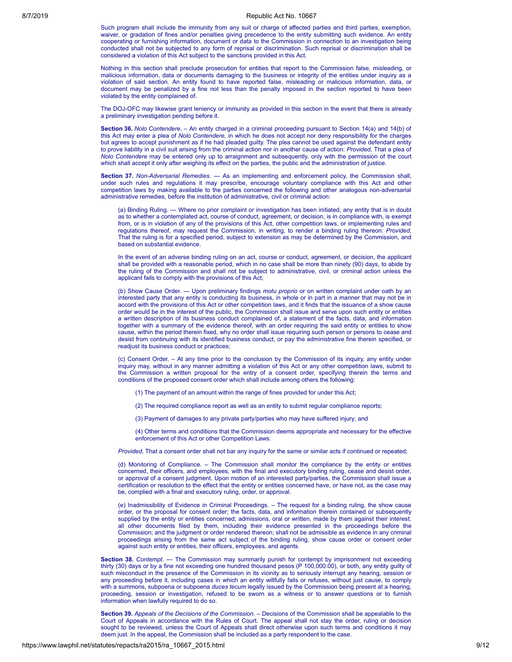Such program shall include the immunity from any suit or charge of affected parties and third parties, exemption, waiver, or gradation of fines and/or penalties giving precedence to the entity submitting such evidence. An entity cooperating or furnishing information, document or data to the Commission in connection to an investigation being conducted shall not be subjected to any form of reprisal or discrimination. Such reprisal or discrimination shall be considered a violation of this Act subject to the sanctions provided in this Act.

Nothing in this section shall preclude prosecution for entities that report to the Commission false, misleading, or malicious information, data or documents damaging to the business or integrity of the entities under inquiry as a violation of said section. An entity found to have reported false, misleading or malicious information, data, or document may be penalized by a fine not less than the penalty imposed in the section reported to have been violated by the entity complained of.

The DOJ-OFC may likewise grant leniency or immunity as provided in this section in the event that there is already a preliminary investigation pending before it.

**Section 36.** *Nolo Contendere. –* An entity charged in a criminal proceeding pursuant to Section 14(a) and 14(b) of this Act may enter a plea of *Nolo Contendere,* in which he does not accept nor deny responsibility for the charges but agrees to accept punishment as if he had pleaded guilty. The plea cannot be used against the defendant entity to prove liability in a civil suit arising from the criminal action nor in another cause of action: *Provided,* That a plea of *Nolo Contendere* may be entered only up to arraignment and subsequently, only with the permission of the court which shall accept it only after weighing its effect on the parties, the public and the administration of justice.

**Section 37.** *Non-Adversarial Remedies. —* As an implementing and enforcement policy, the Commission shall, under such rules and regulations it may prescribe, encourage voluntary compliance with this Act and other competition laws by making available to the parties concerned the following and other analogous non-adversarial administrative remedies, before the institution of administrative, civil or criminal action:

(a) Binding Ruling. — Where no prior complaint or investigation has been initiated, any entity that is in doubt as to whether a contemplated act, course of conduct, agreement, or decision, is in compliance with, is exempt from, or is in violation of any of the provisions of this Act, other competition laws, or implementing rules and regulations thereof, may request the Commission, in writing, to render a binding ruling thereon: *Provided,* That the ruling is for a specified period, subject to extension as may be determined by the Commission, and based on substantial evidence.

In the event of an adverse binding ruling on an act, course or conduct, agreement, or decision, the applicant shall be provided with a reasonable period, which in no case shall be more than ninety (90) days, to abide by the ruling of the Commission and shall not be subject to administrative, civil, or criminal action unless the applicant fails to comply with the provisions of this Act;

(b) Show Cause Order. — Upon preliminary findings *motu proprio* or on written complaint under oath by an interested party that any entity is conducting its business, in whole or in part in a manner that may not be in accord with the provisions of this Act or other competition laws, and it finds that the issuance of a show cause order would be in the interest of the public, the Commission shall issue and serve upon such entity or entities a written description of its business conduct complained of, a statement of the facts, data, and information together with a summary of the evidence thereof, with an order requiring the said entity or entities to show cause, within the period therein fixed, why no order shall issue requiring such person or persons to cease and desist from continuing with its identified business conduct, or pay the administrative fine therein specified, or readjust its business conduct or practices;

(c) Consent Order. – At any time prior to the conclusion by the Commission of its inquiry, any entity under inquiry may, without in any manner admitting a violation of this Act or any other competition laws, submit to the Commission a written proposal for the entry of a consent order, specifying therein the terms and conditions of the proposed consent order which shall include among others the following:

- (1) The payment of an amount within the range of fines provided for under this Act;
- (2) The required compliance report as well as an entity to submit regular compliance reports;
- (3) Payment of damages to any private party/parties who may have suffered injury; and

(4) Other terms and conditions that the Commission deems appropriate and necessary for the effective enforcement of this Act or other Competition Laws:

*Provided*, That a consent order shall not bar any inquiry for the same or similar acts if continued or repeated;

(d) Monitoring of Compliance. – The Commission shall monitor the compliance by the entity or entities concerned, their officers, and employees, with the final and executory binding ruling, cease and desist order, or approval of a consent judgment. Upon motion of an interested party/parties, the Commission shall issue a certification or resolution to the effect that the entity or entities concerned have, or have not, as the case may be, complied with a final and executory ruling, order, or approval.

(e) Inadmissibility of Evidence in Criminal Proceedings. – The request for a binding ruling, the show cause order, or the proposal for consent order; the facts, data, and information therein contained or subsequently supplied by the entity or entities concerned; admissions, oral or written, made by them against their interest; all other documents filed by them, including their evidence presented in the proceedings before the Commission; and the judgment or order rendered thereon; shall not be admissible as evidence in any criminal proceedings arising from the same act subject of the binding ruling, show cause order or consent order against such entity or entities, their officers, employees, and agents.

**Section 38.** *Contempt.* — The Commission may summarily punish for contempt by imprisonment not exceeding thirty (30) days or by a fine not exceeding one hundred thousand pesos (P 100,000.00), or both, any entity guilty of such misconduct in the presence of the Commission in its vicinity as to seriously interrupt any hearing, session or any proceeding before it, including cases in which an entity willfully fails or refuses, without just cause, to comply with a summons, subpoena or subpoena *duces tecum* legally issued by the Commission being present at a hearing, proceeding, session or investigation, refused to be sworn as a witness or to answer questions or to furnish information when lawfully required to do so.

**Section 39.** *Appeals of the Decisions of the Commission.* – Decisions of the Commission shall be appealable to the Court of Appeals in accordance with the Rules of Court. The appeal shall not stay the order, ruling or decision sought to be reviewed, unless the Court of Appeals shall direct otherwise upon such terms and conditions it may deem just. In the appeal, the Commission shall be included as a party respondent to the case.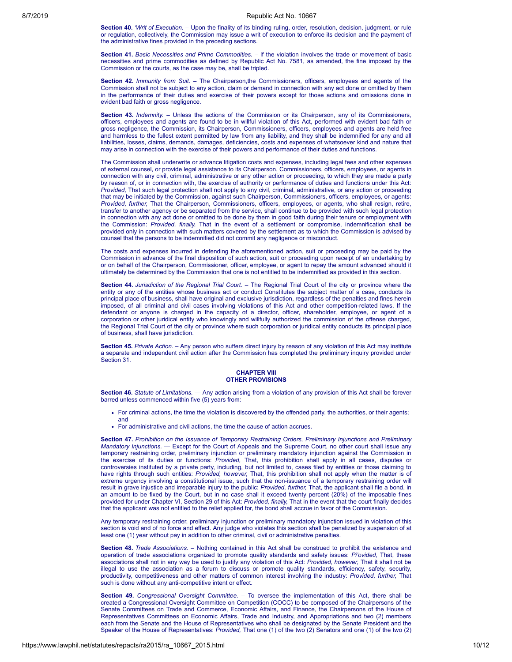**Section 40.** *'Writ of Execution.* – Upon the finality of its binding ruling, order, resolution, decision, judgment, or rule or regulation, collectively, the Commission may issue a writ of execution to enforce its decision and the payment of the administrative fines provided in the preceding sections.

**Section 41.** *Basic Necessities and Prime Commodities. –* If the violation involves the trade or movement of basic necessities and prime commodities as defined by Republic Act No. 7581, as amended, the fine imposed by the Commission or the courts, as the case may be, shall be tripled.

**Section 42.** *Immunity from Suit. –* The Chairperson,the Commissioners, officers, employees and agents of the Commission shall not be subject to any action, claim or demand in connection with any act done or omitted by them in the performance of their duties and exercise of their powers except for those actions and omissions done in evident bad faith or gross negligence.

**Section 43.** *Indemnity.* – Unless the actions of the Commission or its Chairperson, any of its Commissioners, officers, employees and agents are found to be in willful violation of this Act, performed with evident bad faith or gross negligence, the Commission, its Chairperson, Commissioners, officers, employees and agents are held free and harmless to the fullest extent permitted by law from any liability, and they shall be indemnified for any and all liabilities, losses, claims, demands, damages, deficiencies, costs and expenses of whatsoever kind and nature that may arise in connection with the exercise of their powers and performance of their duties and functions.

The Commission shall underwrite or advance litigation costs and expenses, including legal fees and other expenses of external counsel, or provide legal assistance to its Chairperson, Commissioners, officers, employees, or agents in connection with any civil, criminal, administrative or any other action or proceeding, to which they are made a party by reason of, or in connection with, the exercise of authority or performance of duties and functions under this Act: *Provided,* That such legal protection shall not apply to any civil, criminal, administrative, or any action or proceeding that may be initiated by the Commission, against such Chairperson, Commissioners, officers, employees, or agents: *Provided, further,* That the Chairperson, Commissioners, officers, employees, or agents, who shall resign, retire, transfer to another agency or be separated from the service, shall continue to be provided with such legal protection in connection with any act done or omitted to be done by them in good faith during their tenure or employment with the Commission: *Provided, finally,* That in the event of a settlement or compromise, indemnification shall be provided only in connection with such matters covered by the settlement as to which the Commission is advised by counsel that the persons to be indemnified did not commit any negligence or misconduct.

The costs and expenses incurred in defending the aforementioned action, suit or proceeding may be paid by the Commission in advance of the final disposition of such action, suit or proceeding upon receipt of an undertaking by or on behalf of the Chairperson, Commissioner, officer, employee, or agent to repay the amount advanced should it ultimately be determined by the Commission that one is not entitled to be indemnified as provided in this section.

**Section 44.** *Jurisdiction of the Regional Trial Court.* – The Regional Trial Court of the city or province where the entity or any of the entities whose business act or conduct Constitutes the subject matter of a case, conducts its principal place of business, shall have original and exclusive jurisdiction, regardless of the penalties and fines herein imposed, of all criminal and civil cases involving violations of this Act and other competition-related laws. If the defendant or anyone is charged in the capacity of a director, officer, shareholder, employee, or agent of a corporation or other juridical entity who knowingly and willfully authorized the commission of the offense charged, the Regional Trial Court of the city or province where such corporation or juridical entity conducts its principal place of business, shall have jurisdiction.

**Section 45.** *Private Action.* – Any person who suffers direct injury by reason of any violation of this Act may institute a separate and independent civil action after the Commission has completed the preliminary inquiry provided under Section 31.

### **CHAPTER VIII OTHER PROVISIONS**

**Section 46.** *Statute of Limitations. —* Any action arising from a violation of any provision of this Act shall be forever barred unless commenced within five (5) years from:

- For criminal actions, the time the violation is discovered by the offended party, the authorities, or their agents;
- For administrative and civil actions, the time the cause of action accrues.

**Section 47.** *Prohibition on the Issuance of Temporary Restraining Orders, Preliminary Injunctions and Preliminary Mandatory Injunctions. —* Except for the Court of Appeals and the Supreme Court, no other court shall issue any temporary restraining order, preliminary injunction or preliminary mandatory injunction against the Commission in the exercise of its duties or functions: *Provided,* That, this prohibition shall apply in all cases, disputes or controversies instituted by a private party, including, but not limited to, cases filed by entities or those claiming to have rights through such entities: *Provided, however,* That, this prohibition shall not apply when the matter is of extreme urgency involving a constitutional issue, such that the non-issuance of a temporary restraining order will result in grave injustice and irreparable injury to the public: *Provided, further,* That, the applicant shall file a bond, in an amount to be fixed by the Court, but in no case shall it exceed twenty percent (20%) of the imposable fines provided for under Chapter VI, Section 29 of this Act: *Provided, finally,* That in the event that the court finally decides that the applicant was not entitled to the relief applied for, the bond shall accrue in favor of the Commission.

Any temporary restraining order, preliminary injunction or preliminary mandatory injunction issued in violation of this section is void and of no force and effect. Any judge who violates this section shall be penalized by suspension of at least one (1) year without pay in addition to other criminal, civil or administrative penalties.

**Section 48.** *Trade Associations.* – Nothing contained in this Act shall be construed to prohibit the existence and operation of trade associations organized to promote quality standards and safety issues: *Pi'ovided,* That, these associations shall not in any way be used to justify any violation of this Act: *Provided, however,* That it shall not be illegal to use the association as a forum to discuss or promote quality standards, efficiency, safety, security, productivity, competitiveness and other matters of common interest involving the industry: *Provided, further,* That such is done without any anti-competitive intent or effect.

**Section 49.** *Congressional Oversight Committee.* – To oversee the implementation of this Act, there shall be created a Congressional Oversight Committee on Competition (COCC) to be composed of the Chairpersons of the Senate Committees on Trade and Commerce, Economic Affairs, and Finance, the Chairpersons of the House of Representatives Committees on Economic Affairs, Trade and Industry, and Appropriations and two (2) members each from the Senate and the House of Representatives who shall be designated by the Senate President and the Speaker of the House of Representatives: *Provided,* That one (1) of the two (2) Senators and one (1) of the two (2)

and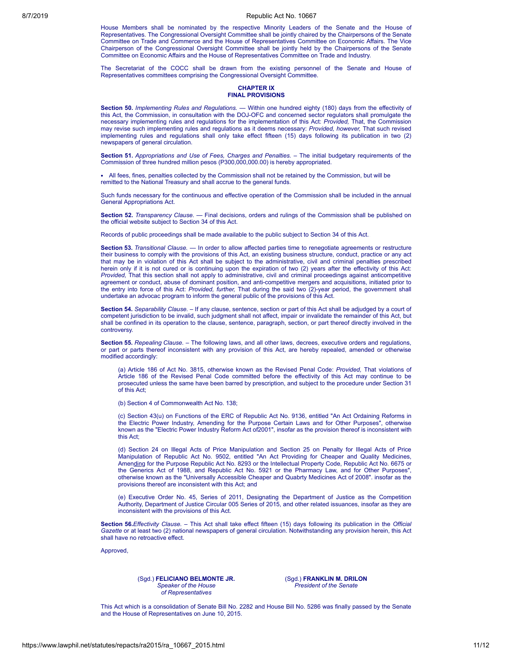House Members shall be nominated by the respective Minority Leaders of the Senate and the House of Representatives. The Congressional Oversight Committee shall be jointly chaired by the Chairpersons of the Senate Committee on Trade and Commerce and the House of Representatives Committee on Economic Affairs. The Vice Chairperson of the Congressional Oversight Committee shall be jointly held by the Chairpersons of the Senate Committee on Economic Affairs and the House of Representatives Committee on Trade and Industry.

The Secretariat of the COCC shall be drawn from the existing personnel of the Senate and House of Representatives committees comprising the Congressional Oversight Committee.

#### **CHAPTER IX FINAL PROVISIONS**

**Section 50.** *Implementing Rules and Regulations. —* Within one hundred eighty (180) days from the effectivity of this Act, the Commission, in consultation with the DOJ-OFC and concerned sector regulators shall promulgate the necessary implementing rules and regulations for the implementation of this Act: *Provided,* That, the Commission may revise such implementing rules and regulations as it deems necessary: *Provided, however,* That such revised implementing rules and regulations shall only take effect fifteen (15) days following its publication in two (2) newspapers of general circulation.

**Section 51.** *Appropriations and Use of Fees, Charges and Penalties. –* The initial budgetary requirements of the Commission of three hundred million pesos (P300,000,000.00) is hereby appropriated.

All fees, fines, penalties collected by the Commission shall not be retained by the Commission, but will be remitted to the National Treasury and shall accrue to the general funds.

Such funds necessary for the continuous and effective operation of the Commission shall be included in the annual General Appropriations Act.

**Section 52.** *Transparency Clause. —* Final decisions, orders and rulings of the Commission shall be published on the official website subject to Section 34 of this Act.

Records of public proceedings shall be made available to the public subject to Section 34 of this Act.

**Section 53.** *Transitional Clause.* — In order to allow affected parties time to renegotiate agreements or restructure their business to comply with the provisions of this Act, an existing business structure, conduct, practice or any act that may be in violation of this Act shall be subject to the administrative, civil and criminal penalties prescribed herein only if it is not cured or is continuing upon the expiration of two (2) years after the effectivity of this Act: *Provided,* That this section shall not apply to administrative, civil and criminal proceedings against anticompetitive agreement or conduct, abuse of dominant position, and anti-competitive mergers and acquisitions, initiated prior to the entry into force of this Act: *Provided, further,* That during the said two (2)-year period, the government shall undertake an advocac program to inform the general public of the provisions of this Act.

**Section 54.** *Separability Clause.* – If any clause, sentence, section or part of this Act shall be adjudged by a court of competent jurisdiction to be invalid, such judgment shall not affect, impair or invalidate the remainder of this Act, but shall be confined in its operation to the clause, sentence, paragraph, section, or part thereof directly involved in the controversy.

**Section 55.** *Repealing Clause.* – The following laws, and all other laws, decrees, executive orders and regulations, or part or parts thereof inconsistent with any provision of this Act, are hereby repealed, amended or otherwise modified accordingly:

(a) Article 186 of Act No. 3815, otherwise known as the Revised Penal Code: *Provided,* That violations of Article 186 of the Revised Penal Code committed before the effectivity of this Act may continue to be prosecuted unless the same have been barred by prescription, and subject to the procedure under Section 31 of this Act;

(b) Section 4 of Commonwealth Act No. 138;

(c) Section 43(u) on Functions of the ERC of Republic Act No. 9136, entitled "An Act Ordaining Reforms in the Electric Power Industry, Amending for the Purpose Certain Laws and for Other Purposes", otherwise known as the "Electric Power Industry Reform Act of2001", insofar as the provision thereof is inconsistent with this Act;

(d) Section 24 on Illegal Acts of Price Manipulation and Section 25 on Penalty for Illegal Acts of Price Manipulation of Republic Act No. 9502, entitled "An Act Providing for Cheaper and Quality Medicines, Amending for the Purpose Republic Act No. 8293 or the Intellectual Property Code, Republic Act No. 6675 or the Generics Act of 1988, and Republic Act No. 5921 or the Pharmacy Law, and for Other Purposes", otherwise known as the "Universally Accessible Cheaper and Quabrty Medicines Act of 2008". insofar as the provisions thereof are inconsistent with this Act; and

(e) Executive Order No. 45, Series of 2011, Designating the Department of Justice as the Competition Authority, Department of Justice Circular 005 Series of 2015, and other related issuances, insofar as they are inconsistent with the provisions of this Act.

**Section 56.***Effectivity Clause. –* This Act shall take effect fifteen (15) days following its publication in the *Official Gazette* or at least two (2) national newspapers of general circulation. Notwithstanding any provision herein, this Act shall have no retroactive effect.

Approved,

(Sgd.) **FELICIANO BELMONTE JR.** *Speaker of the House of Representatives*

(Sgd.) **FRANKLIN M. DRILON** *President of the Senate*

This Act which is a consolidation of Senate Bill No. 2282 and House Bill No. 5286 was finally passed by the Senate and the House of Representatives on June 10, 2015.